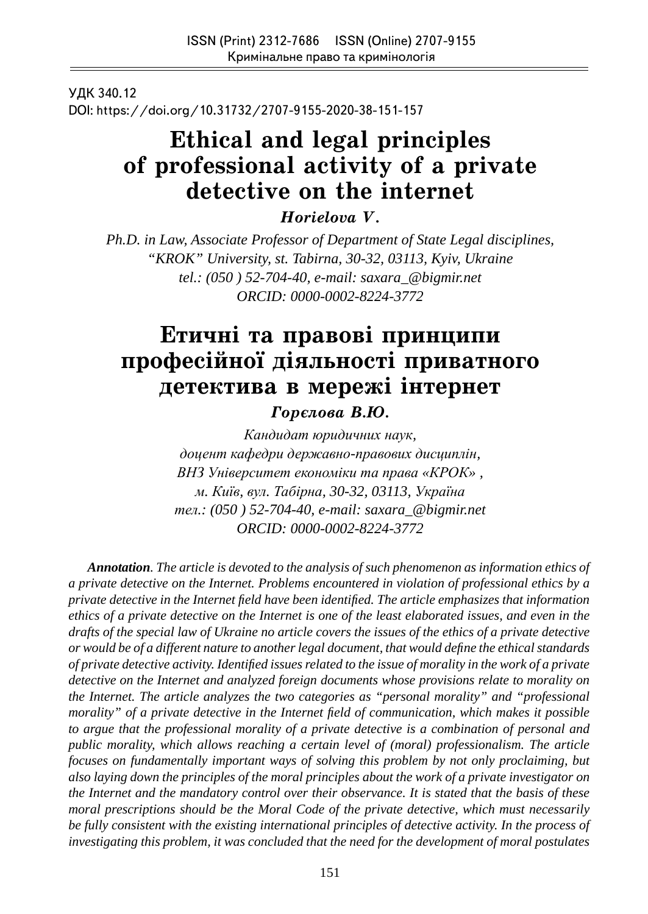УДК 340.12 DOI: https://doi.org/10.31732/2707-9155-2020-38-151-157

# **Ethical and legal principles of professional activity of a private detective on the internet**

*Horielova V.*

*Ph.D. in Law, Associate Professor of Department of State Legal disciplines, "KROK" University, st. Tabirna, 30-32, 03113, Kyiv, Ukraine tel.: (050 ) 52-704-40, e-mail: saxara\_@bigmir.net ORCID: 0000-0002-8224-3772*

# **Етичні та правові принципи** професійної діяльності приватного детектива в мережі інтернет

 $I$ орелова В.Ю.

*Кандидат юридичних наук, доцент кафедри державно-правових дисциплін, ВНЗ Університет економіки та права «КРОК» , м. Київ, вул. Табірна, 30-32, 03113, Україна тел.: (050 ) 52-704-40, e-mail: saxara\_@bigmir.net ORCID: 0000-0002-8224-3772*

*Annotation. The article is devoted to the analysis of such phenomenon as information ethics of a private detective on the Internet. Problems encountered in violation of professional ethics by a private detective in the Internet fi eld have been identifi ed. The article emphasizes that information ethics of a private detective on the Internet is one of the least elaborated issues, and even in the drafts of the special law of Ukraine no article covers the issues of the ethics of a private detective or would be of a different nature to another legal document, that would defi ne the ethical standards of private detective activity. Identifi ed issues related to the issue of morality in the work of a private detective on the Internet and analyzed foreign documents whose provisions relate to morality on the Internet. The article analyzes the two categories as "personal morality" and "professional morality*" of a private detective in the Internet field of communication, which makes it possible *to argue that the professional morality of a private detective is a combination of personal and public morality, which allows reaching a certain level of (moral) professionalism. The article focuses on fundamentally important ways of solving this problem by not only proclaiming, but also laying down the principles of the moral principles about the work of a private investigator on the Internet and the mandatory control over their observance. It is stated that the basis of these moral prescriptions should be the Moral Code of the private detective, which must necessarily be fully consistent with the existing international principles of detective activity. In the process of investigating this problem, it was concluded that the need for the development of moral postulates*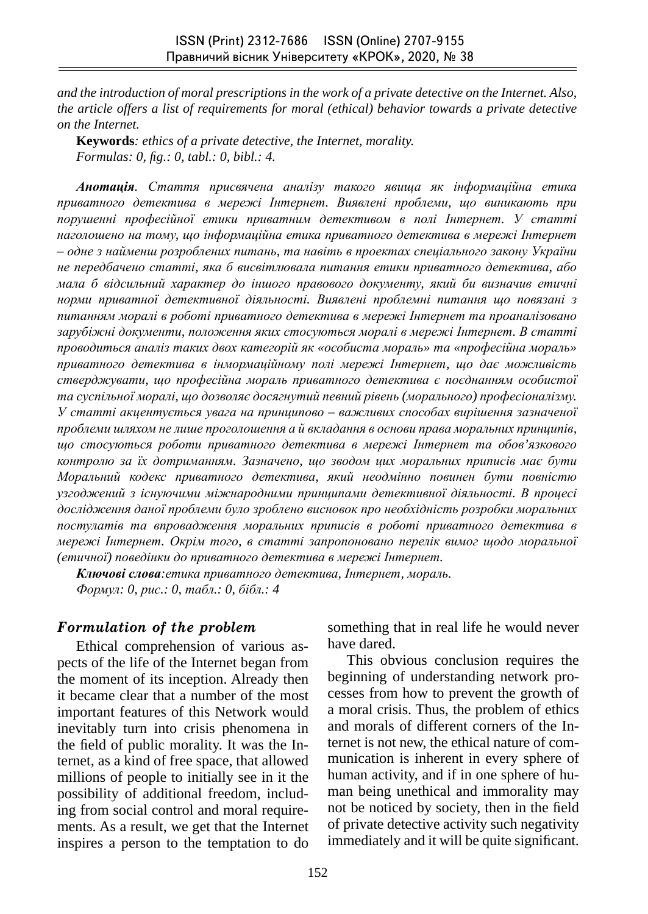*and the introduction of moral prescriptions in the work of a private detective on the Internet. Also, the article offers a list of requirements for moral (ethical) behavior towards a private detective on the Internet.*

**Keywords***: ethics of a private detective, the Internet, morality. Formulas: 0, fi g.: 0, tabl.: 0, bibl.: 4.*

*Анотація. Стаття присвячена аналізу такого явища як інформаційна етика приватного детектива в мережі Інтернет. Виявлені проблеми, що виникають при порушенні професійної етики приватним детективом в полі Інтернет. У статті наголошено на тому, що інформаційна етика приватного детектива в мережі Інтернет – одне з найменш розроблених питань, та навіть в проектах спеціального закону України не передбачено статті, яка б висвітлювала питання етики приватного детектива, або мала б відсильний характер до іншого правового документу, який би визначив етичні норми приватної детективної діяльності. Виявлені проблемні питання що повязані з питанням моралі в роботі приватного детектива в мережі Інтернет та проаналізовано зарубіжні документи, положення яких стосуються моралі в мережі Інтернет. В статті проводиться аналіз таких двох категорій як «особиста мораль» та «професійна мораль» приватного детектива в інмормаційному полі мережі Інтернет, що дає можливість стверджувати, що професійна мораль приватного детектива є поєднанням особистої та суспільної моралі, що дозволяє досягнутий певний рівень (морального) професіоналізму. У статті акцентується увага на принципово – важливих способах вирішення зазначеної проблеми шляхом не лише проголошення а й вкладання в основи права моральних принципів, що стосуються роботи приватного детектива в мережі Інтернет та обов'язкового контролю за їх дотриманням. Зазначено, що зводом цих моральних приписів має бути Моральний кодекс приватного детектива, який неодмінно повинен бути повністю узгоджений з існуючими міжнародними принципами детективної діяльності. В процесі дослідження даної проблеми було зроблено висновок про необхідність розробки моральних постулатів та впровадження моральних приписів в роботі приватного детектива в мережі Інтернет. Окрім того, в статті запропоновано перелік вимог щодо моральної (етичної) поведінки до приватного детектива в мережі Інтернет.*

*Ключові слова:етика приватного детектива, Інтернет, мораль. Формул: 0, рис.: 0, табл.: 0, бібл.: 4*

#### *Formulation of the problem*

Ethical comprehension of various aspects of the life of the Internet began from the moment of its inception. Already then it became clear that a number of the most important features of this Network would inevitably turn into crisis phenomena in the field of public morality. It was the Internet, as a kind of free space, that allowed millions of people to initially see in it the possibility of additional freedom, including from social control and moral requirements. As a result, we get that the Internet inspires a person to the temptation to do something that in real life he would never have dared.

This obvious conclusion requires the beginning of understanding network processes from how to prevent the growth of a moral crisis. Thus, the problem of ethics and morals of different corners of the Internet is not new, the ethical nature of communication is inherent in every sphere of human activity, and if in one sphere of human being unethical and immorality may not be noticed by society, then in the field of private detective activity such negativity immediately and it will be quite significant.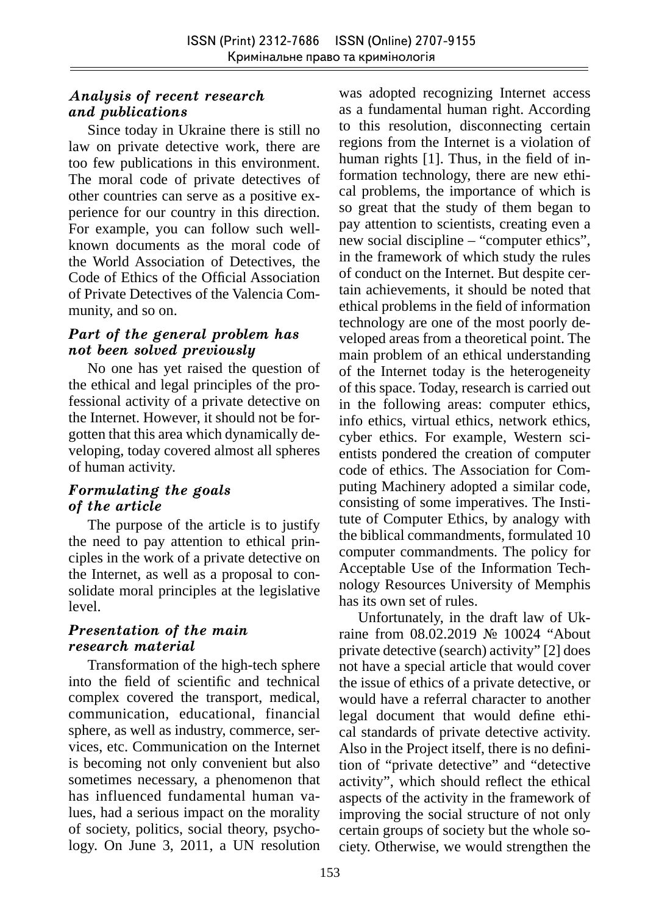## *Analysis of recent research and publications*

Since today in Ukraine there is still no law on private detective work, there are too few publications in this environment. The moral code of private detectives of other countries can serve as a positive experience for our country in this direction. For example, you can follow such wellknown documents as the moral code of the World Association of Detectives, the Code of Ethics of the Official Association of Private Detectives of the Valencia Community, and so on.

### *Part of the general problem has not been solved previously*

No one has yet raised the question of the ethical and legal principles of the professional activity of a private detective on the Internet. However, it should not be forgotten that this area which dynamically developing, today covered almost all spheres of human activity.

## *Formulating the goals of the article*

The purpose of the article is to justify the need to pay attention to ethical principles in the work of a private detective on the Internet, as well as a proposal to consolidate moral principles at the legislative level.

### *Presentation of the main research material*

Transformation of the high-tech sphere into the field of scientific and technical complex covered the transport, medical, communication, educational, financial sphere, as well as industry, commerce, services, etc. Communication on the Internet is becoming not only convenient but also sometimes necessary, a phenomenon that has influenced fundamental human values, had a serious impact on the morality of society, politics, social theory, psychology. On June 3, 2011, a UN resolution was adopted recognizing Internet access as a fundamental human right. According to this resolution, disconnecting certain regions from the Internet is a violation of human rights  $[1]$ . Thus, in the field of information technology, there are new ethical problems, the importance of which is so great that the study of them began to pay attention to scientists, creating even a new social discipline – "computer ethics", in the framework of which study the rules of conduct on the Internet. But despite certain achievements, it should be noted that ethical problems in the field of information technology are one of the most poorly developed areas from a theoretical point. The main problem of an ethical understanding of the Internet today is the heterogeneity of this space. Today, research is carried out in the following areas: computer ethics, info ethics, virtual ethics, network ethics, cyber ethics. For example, Western scientists pondered the creation of computer code of ethics. The Association for Computing Machinery adopted a similar code, consisting of some imperatives. The Institute of Computer Ethics, by analogy with the biblical commandments, formulated 10 computer commandments. The policy for Acceptable Use of the Information Technology Resources University of Memphis has its own set of rules.

Unfortunately, in the draft law of Ukraine from 08.02.2019 № 10024 "About private detective (search) activity" [2] does not have a special article that would cover the issue of ethics of a private detective, or would have a referral character to another legal document that would define ethical standards of private detective activity. Also in the Project itself, there is no definition of "private detective" and "detective activity", which should reflect the ethical aspects of the activity in the framework of improving the social structure of not only certain groups of society but the whole society. Otherwise, we would strengthen the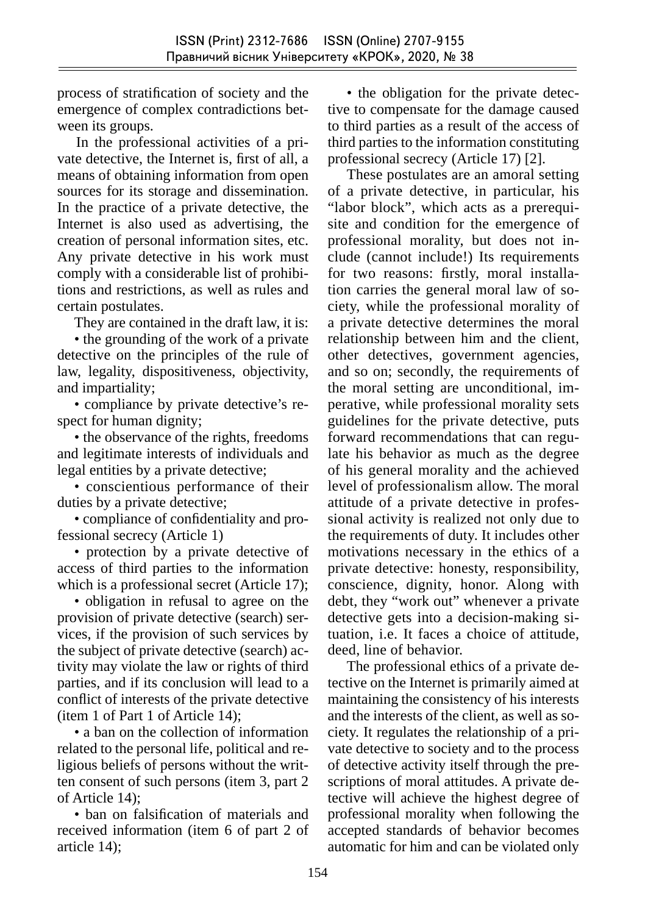process of stratification of society and the emergence of complex contradictions between its groups.

In the professional activities of a private detective, the Internet is, first of all, a means of obtaining information from open sources for its storage and dissemination. In the practice of a private detective, the Internet is also used as advertising, the creation of personal information sites, etc. Any private detective in his work must comply with a considerable list of prohibitions and restrictions, as well as rules and certain postulates.

They are contained in the draft law, it is:

• the grounding of the work of a private detective on the principles of the rule of law, legality, dispositiveness, objectivity, and impartiality;

• compliance by private detective's respect for human dignity;

• the observance of the rights, freedoms and legitimate interests of individuals and legal entities by a private detective;

• conscientious performance of their duties by a private detective;

• compliance of confidentiality and professional secrecy (Article 1)

• protection by a private detective of access of third parties to the information which is a professional secret (Article 17);

• obligation in refusal to agree on the provision of private detective (search) services, if the provision of such services by the subject of private detective (search) activity may violate the law or rights of third parties, and if its conclusion will lead to a conflict of interests of the private detective (item 1 of Part 1 of Article 14);

• a ban on the collection of information related to the personal life, political and religious beliefs of persons without the written consent of such persons (item 3, part 2 of Article 14);

• ban on falsification of materials and received information (item 6 of part 2 of article 14);

• the obligation for the private detective to compensate for the damage caused to third parties as a result of the access of third parties to the information constituting professional secrecy (Article 17) [2].

These postulates are an amoral setting of a private detective, in particular, his "labor block", which acts as a prerequisite and condition for the emergence of professional morality, but does not include (cannot include!) Its requirements for two reasons: firstly, moral installation carries the general moral law of society, while the professional morality of a private detective determines the moral relationship between him and the client, other detectives, go vernment agencies, and so on; secondly, the requirements of the moral setting are unconditional, imperative, while professional morality sets guidelines for the private detective, puts forward recommendations that can regulate his behavior as much as the degree of his general morality and the achieved level of professionalism allow. The moral attitude of a private detective in professional activity is realized not only due to the requirements of duty. It includes other motivations necessary in the ethics of a private detective: honesty, responsibility, conscience, dignity, honor. Along with debt, they "work out" whenever a private detective gets into a decision-making situation, i.e. It faces a choice of attitude, deed, line of behavior.

The professional ethics of a private detective on the Internet is primarily aimed at maintaining the consistency of his interests and the interests of the client, as well as society. It regulates the relationship of a private detective to society and to the process of detective activity itself through the prescriptions of moral attitudes. A private detective will achieve the highest degree of professional morality when following the accepted standards of behavior becomes automatic for him and can be violated only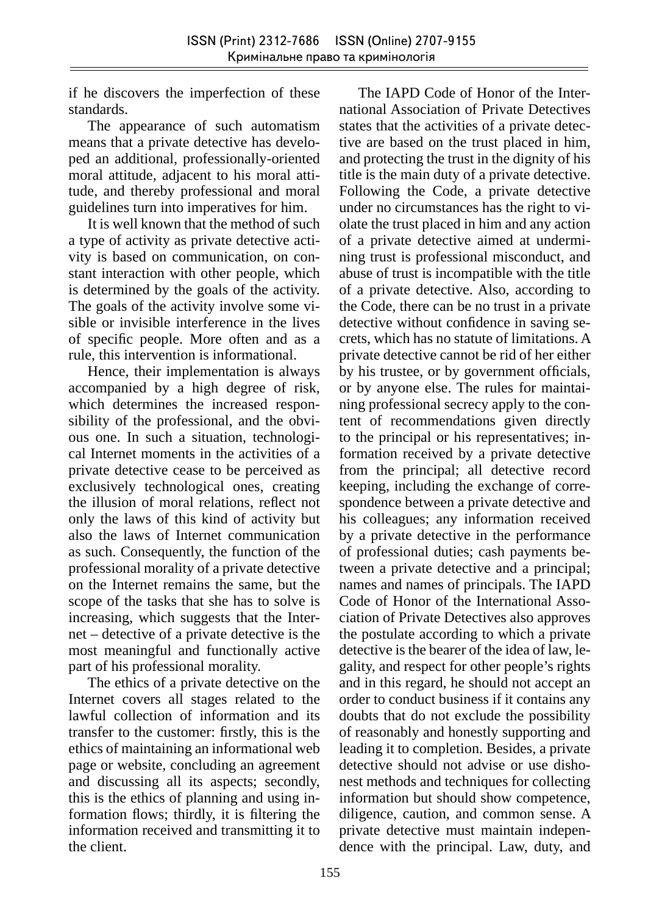if he discovers the imperfection of these standards.

The appearance of such automatism means that a private detective has developed an additional, professionally-oriented moral attitude, adjacent to his moral attitude, and thereby professional and moral guidelines turn into imperatives for him.

It is well known that the method of such a type of activity as private detective activity is based on communication, on constant interaction with other people, which is determined by the goals of the activity. The goals of the activity involve some visible or invisible interference in the lives of specific people. More often and as a rule, this intervention is informational.

Hence, their implementation is always accompanied by a high degree of risk, which determines the increased responsibility of the professional, and the obvious one. In such a situation, technological Internet moments in the activities of a private detective cease to be perceived as exclusively technological ones, creating the illusion of moral relations, reflect not only the laws of this kind of activity but also the laws of Internet communication as such. Consequently, the function of the professional morality of a private detective on the Internet remains the same, but the scope of the tasks that she has to solve is increasing, which suggests that the Internet – detective of a private detective is the most meaningful and functionally active part of his professional morality.

The ethics of a private detective on the Internet covers all stages related to the lawful collection of information and its transfer to the customer: firstly, this is the ethics of maintaining an informational web page or website, concluding an agreement and discussing all its aspects; secondly, this is the ethics of planning and using information flows; thirdly, it is filtering the information received and transmitting it to the client.

The IAPD Code of Honor of the International Association of Private Detectives states that the activities of a private detective are based on the trust placed in him, and protecting the trust in the dignity of his title is the main duty of a private detective. Following the Code, a private detective under no circumstances has the right to violate the trust placed in him and any action of a private detective aimed at undermining trust is professional misconduct, and abuse of trust is incompatible with the title of a private detective. Also, according to the Code, there can be no trust in a private detective without confidence in saving secrets, which has no statute of limitations. A private detective cannot be rid of her either by his trustee, or by government officials, or by anyone else. The rules for maintaining professional secrecy apply to the content of recommendations given directly to the principal or his representatives; information received by a private detective from the principal; all detective record keeping, including the exchange of correspondence between a private detective and his colleagues; any information received by a private detective in the performance of professional duties; cash payments between a private detective and a principal; names and names of principals. The IAPD Code of Honor of the International Association of Private Detectives also approves the postulate according to which a private detective is the bearer of the idea of law, legality, and respect for other people's rights and in this regard, he should not accept an order to conduct business if it contains any doubts that do not exclude the possibility of reasonably and honestly supporting and leading it to completion. Besides, a private detective should not advise or use dishonest methods and techniques for collecting information but should show competence, diligence, caution, and common sense. A private detective must maintain independence with the principal. Law, duty, and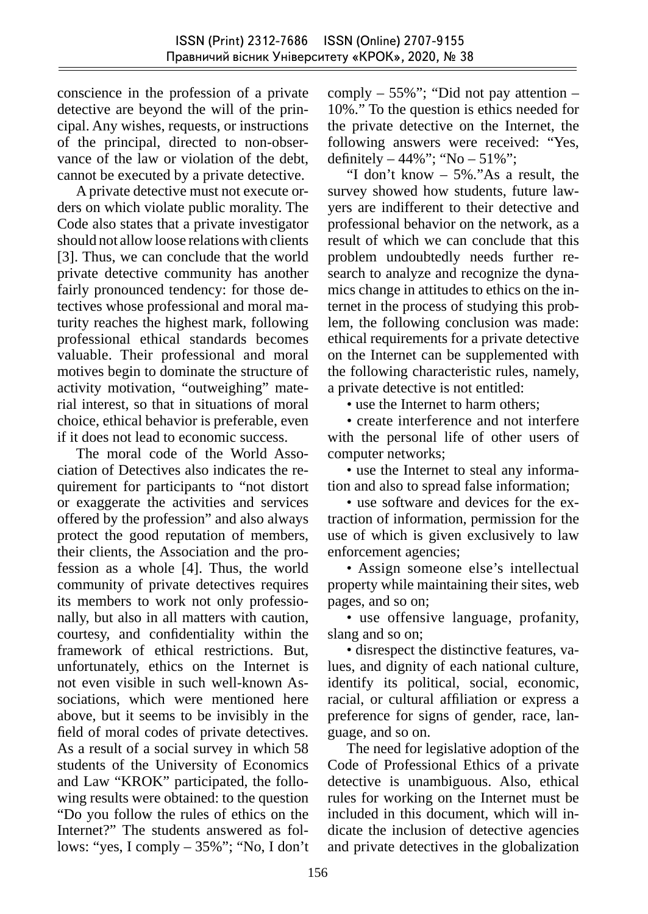conscience in the profession of a private detective are beyond the will of the principal. Any wishes, requests, or instructions of the principal, directed to non-observance of the law or violation of the debt, cannot be executed by a private detective.

A private detective must not execute orders on which violate public morality. The Code also states that a private investigator should not allow loose relations with clients [3]. Thus, we can conclude that the world private detective community has another fairly pronounced tendency: for those detectives whose professional and moral maturity reaches the highest mark, following professional ethical standards becomes valuable. Their professional and moral motives begin to dominate the structure of activity motivation, "outweighing" material interest, so that in situations of moral choice, ethical behavior is preferable, even if it does not lead to economic success.

The moral code of the World Association of Detectives also indicates the requirement for participants to "not distort or exaggerate the activities and services offered by the profession" and also always protect the good reputation of members, their clients, the Association and the profession as a whole [4]. Thus, the world community of private detectives requires its members to work not only professionally, but also in all matters with caution, courtesy, and confidentiality within the framework of ethical restrictions. But, unfortunately, ethics on the Internet is not even visible in such well-known Associations, which were mentioned here above, but it seems to be invisibly in the field of moral codes of private detectives. As a result of a social survey in which 58 students of the University of Economics and Law "KROK" participated, the following results were obtained: to the question "Do you follow the rules of ethics on the Internet?" The students answered as follows: "yes, I comply – 35%"; "No, I don't comply  $-55\%$ "; "Did not pay attention  $-$ 10%." To the question is ethics needed for the private detective on the Internet, the following answers were received: "Yes, definitely  $-44\%$ "; "No  $-51\%$ ";

"I don't know – 5%."As a result, the survey showed how students, future lawyers are indifferent to their detective and professional behavior on the network, as a result of which we can conclude that this problem undoubtedly needs further research to analyze and recognize the dynamics change in attitudes to ethics on the internet in the process of studying this problem, the following conclusion was made: ethical requirements for a private detective on the Internet can be supplemented with the following characteristic rules, namely, a private detective is not entitled:

• use the Internet to harm others:

• create interference and not interfere with the personal life of other users of computer networks;

• use the Internet to steal any information and also to spread false information;

• use software and devices for the extraction of information, permission for the use of which is given exclusively to law enforcement agencies;

• Assign someone else's intellectual property while maintaining their sites, web pages, and so on;

• use offensive language, profanity, slang and so on;

• disrespect the distinctive features, values, and dignity of each national culture, identify its political, social, economic, racial, or cultural affiliation or express a preference for signs of gender, race, language, and so on.

The need for legislative adoption of the Code of Professional Ethics of a private detective is unambiguous. Also, ethical rules for working on the Internet must be included in this document, which will indicate the inclusion of detective agencies and private detectives in the globalization